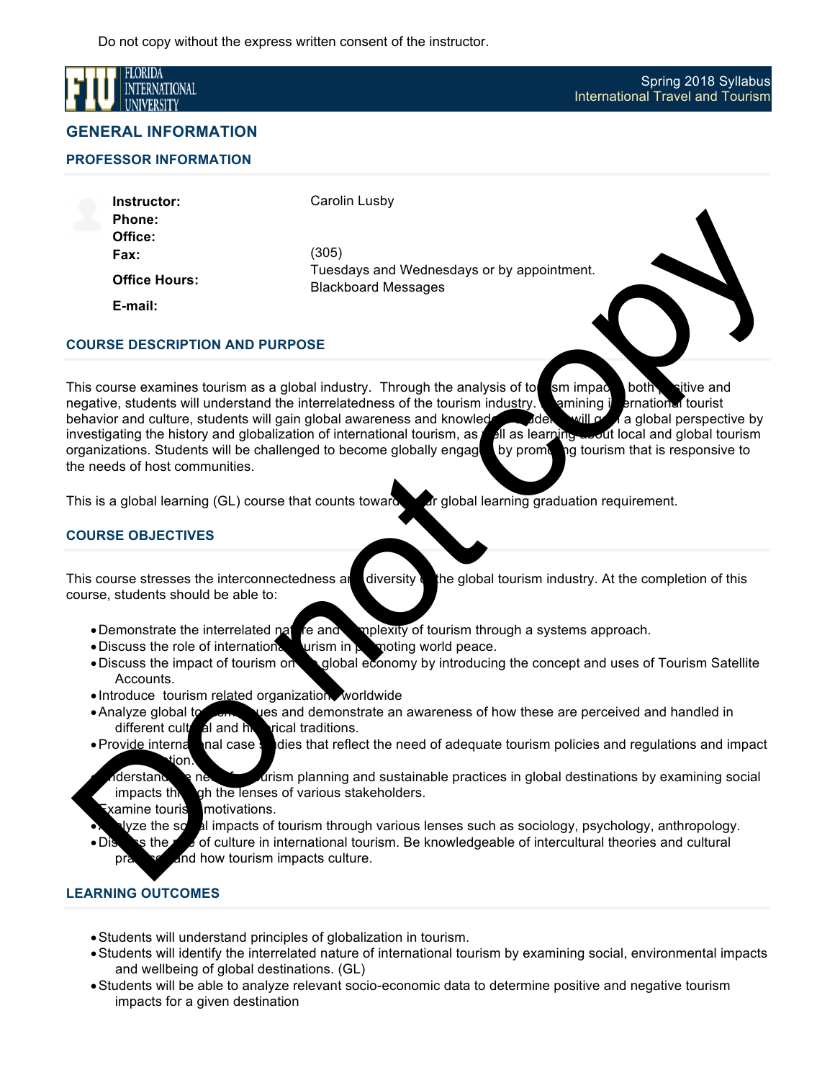

## **GENERAL INFORMATION**

**PROFESSOR INFORMATION** 

**Instructor: Phone: Office: Fax: Office Hours:** Carolin Lusby

(305) Tuesdays and Wednesdays or by appointment. Blackboard Messages

**E-mail:**

## **COURSE DESCRIPTION AND PURPOSE**

This course examines tourism as a global industry. Through the analysis of to  $\Box$  sm impact both positive and negative, students will understand the interrelatedness of the tourism industry. **Examining international tourist** behavior and culture, students will gain global awareness and knowledge. Students will gain a global perspective by investigating the history and globalization of international tourism, as well as learning about local and global tourism organizations. Students will be challenged to become globally engage by promoting tourism that is responsive to the needs of host communities. Phone:<br>
Text:<br>
Office:<br>
Fax:<br>
Correcte:<br>
Fax:<br>
Equivalent Maximum Backboard Messages<br>
This course or commissions to use and other intermediatings of the ambitsion of the minimpallic and<br>
Do not control of the intermediatin

This is a global learning (GL) course that counts toward are global learning graduation requirement.

## **COURSE OBJECTIVES**

This course stresses the interconnectedness and diversity the global tourism industry. At the completion of this course, students should be able to:

- Demonstrate the interrelated nature and complexity of tourism through a systems approach.
- •Discuss the role of international urism in promoting world peace.<br>•Discuss the impact of tourism on probal economy by introducing
- global economy by introducing the concept and uses of Tourism Satellite Accounts.
- Introduce tourism related organization worldwide
- Analyze global to some lues and demonstrate an awareness of how these are perceived and handled in different cultural and  $h$ , rical traditions.
- Provide international case studies that reflect the need of adequate tourism policies and regulations and impact tion.

derstand the need for the new tourism planning and sustainable practices in global destinations by examining social  $impacts$  the lenses of various stakeholders.

**Examine tourise motivations.** 

- yze the social impacts of tourism through various lenses such as sociology, psychology, anthropology.
- Discuss the role of culture in international tourism. Be knowledgeable of intercultural theories and cultural and how tourism impacts culture.

# **LEARNING OUTCOMES**

- •Students will understand principles of globalization in tourism.
- •Students will identify the interrelated nature of international tourism by examining social, environmental impacts and wellbeing of global destinations. (GL)
- •Students will be able to analyze relevant socio-economic data to determine positive and negative tourism impacts for a given destination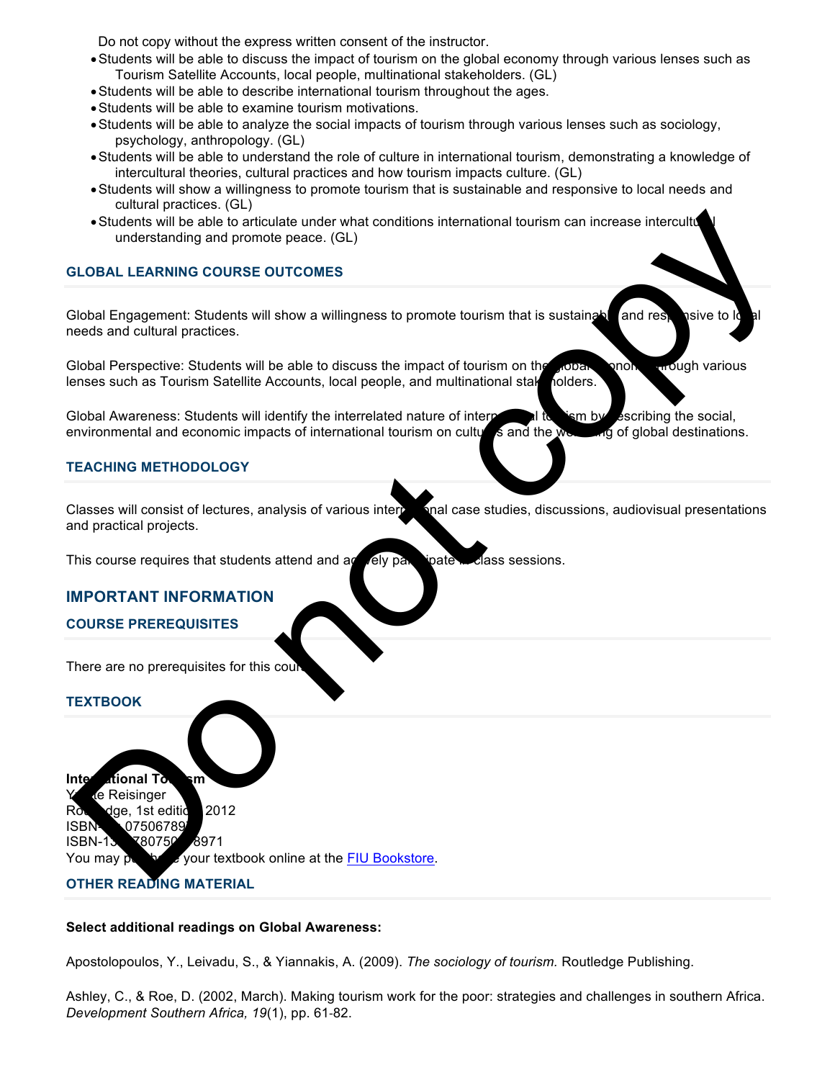- •Students will be able to discuss the impact of tourism on the global economy through various lenses such as Tourism Satellite Accounts, local people, multinational stakeholders. (GL)
- •Students will be able to describe international tourism throughout the ages.
- •Students will be able to examine tourism motivations.
- •Students will be able to analyze the social impacts of tourism through various lenses such as sociology, psychology, anthropology. (GL)
- •Students will be able to understand the role of culture in international tourism, demonstrating a knowledge of intercultural theories, cultural practices and how tourism impacts culture. (GL)
- •Students will show a willingness to promote tourism that is sustainable and responsive to local needs and cultural practices. (GL)
- Students will be able to articulate under what conditions international tourism can increase intercultural understanding and promote peace. (GL)

## **GLOBAL LEARNING COURSE OUTCOMES**

Global Engagement: Students will show a willingness to promote tourism that is sustainable and responsive to lo needs and cultural practices.

Global Perspective: Students will be able to discuss the impact of tourism on the global equal enough various lenses such as Tourism Satellite Accounts, local people, and multinational stake holders.

Global Awareness: Students will identify the interrelated nature of interparties of the social, environmental and economic impacts of international tourism on cultures and the welling of global destinations.

## **TEACHING METHODOLOGY**

Classes will consist of lectures, analysis of various inter $\mathbf{r}$  and case studies, discussions, audiovisual presentations and practical projects. Sustaine will be able to a directed under what conditions international tourism can browse interculture into the course of the control of the control of the control of the control of the control of the control of the contr

This course requires that students attend and  $\alpha$  dely participate in class sessions.

## **IMPORTANT INFORMATION**

### **COURSE PREREQUISITES**

There are no prerequisites for this cour

#### **TEXTBOOK**

**International Townsm** te Reisinger Roundge, 1st edition, 2012 ISBN-107506789 ISBN-13: 780750678971

You may purchase your textbook online at the FIU Bookstore.

## **OTHER READING MATERIAL**

#### **Select additional readings on Global Awareness:**

Apostolopoulos, Y., Leivadu, S., & Yiannakis, A. (2009). *The sociology of tourism.* Routledge Publishing.

Ashley, C., & Roe, D. (2002, March). Making tourism work for the poor: strategies and challenges in southern Africa. *Development Southern Africa, 19*(1), pp. 61-82.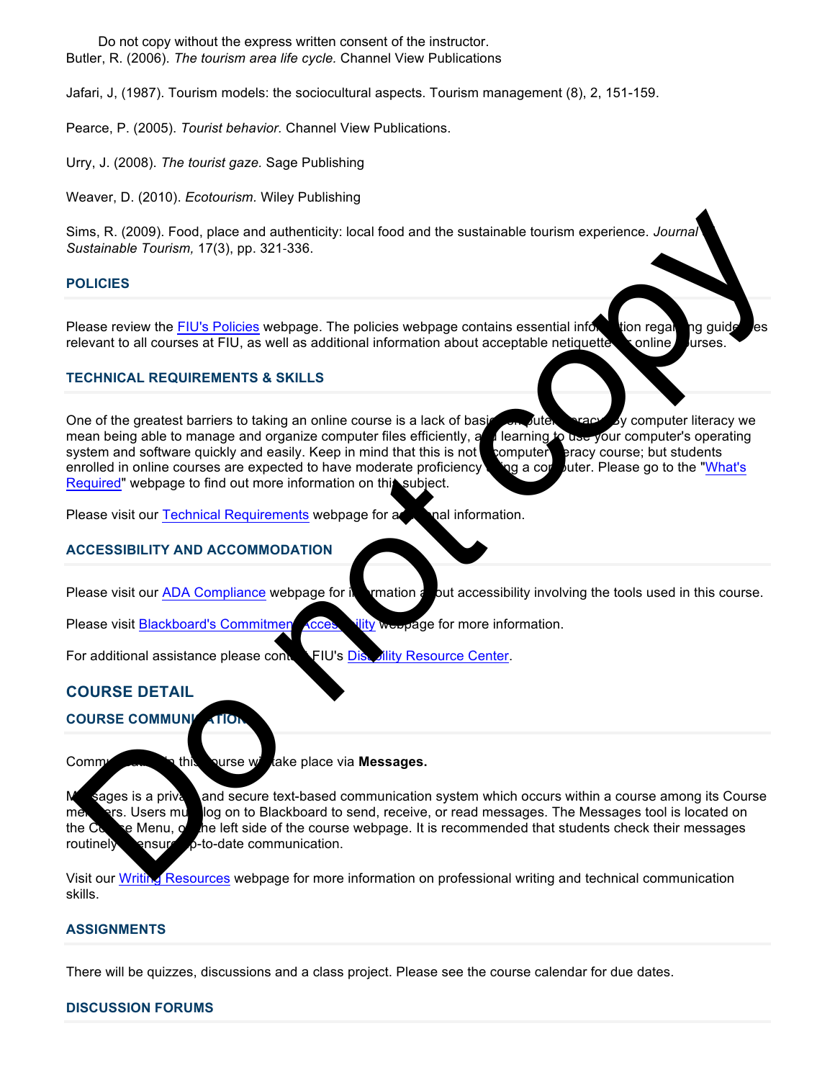Butler, R. (2006). *The tourism area life cycle.* Channel View Publications Do not copy without the express written consent of the instructor.

Jafari, J, (1987). Tourism models: the sociocultural aspects. Tourism management (8), 2, 151-159.

Pearce, P. (2005). *Tourist behavior.* Channel View Publications.

Urry, J. (2008). *The tourist gaze.* Sage Publishing

Weaver, D. (2010). *Ecotourism.* Wiley Publishing

Sims, R. (2009). Food, place and authenticity: local food and the sustainable tourism experience. *Journal Sustainable Tourism,* 17(3), pp. 321-336.

## **POLICIES**

Please review the FIU's Policies webpage. The policies webpage contains essential information regarding guide les relevant to all courses at FIU, as well as additional information about acceptable netiquette sonline urses.

## **TECHNICAL REQUIREMENTS & SKILLS**

One of the greatest barriers to taking an online course is a lack of basic computer. By computer literacy we mean being able to manage and organize computer files efficiently, and learning to use your computer's operating system and software quickly and easily. Keep in mind that this is not **computer** eracy course; but students enrolled in online courses are expected to have moderate proficiency  $\Box$  and a computer. Please go to the "What's Required" webpage to find out more information on this subject. Sims, R. (2009), Food, place and authoritiest; local food and the sustainable tourism experience. Journal<br>
Sistemation Tourism, 17(3), pp. 321-336,<br>
Do the FIUs Policies webpape. The policies webpape contains essential inf

Please visit our Technical Requirements webpage for a contact information.

## **ACCESSIBILITY AND ACCOMMODATION**

Please visit our ADA Compliance webpage for in **the interpretation about accessibility** involving the tools used in this course.

Please visit Blackboard's Commitment Accessibility webpage for more information.

For additional assistance please contain FIU's Disability Resource Center.

# **COURSE DETAIL**

**COURSE COMMUNICATION** 

Communication in this curse will take place via **Messages.** 

M<sub>sages</sub> is a privation desecure text-based communication system which occurs within a course among its Course mere there is users must log on to Blackboard to send, receive, or read messages. The Messages tool is located on the Course Menu, on the left side of the course webpage. It is recommended that students check their messages routinely ensure p-to-date communication.

Visit our Writing Resources webpage for more information on professional writing and technical communication skills.

### **ASSIGNMENTS**

There will be quizzes, discussions and a class project. Please see the course calendar for due dates.

#### **DISCUSSION FORUMS**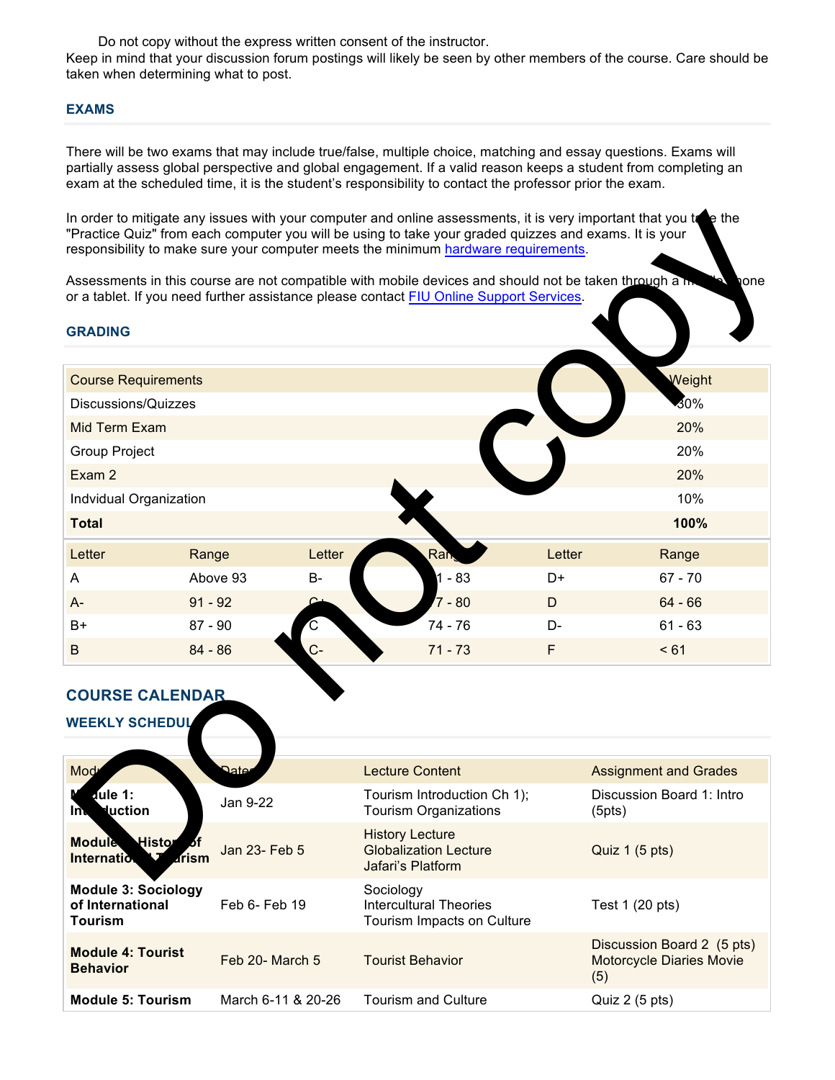Keep in mind that your discussion forum postings will likely be seen by other members of the course. Care should be taken when determining what to post.

### **EXAMS**

There will be two exams that may include true/false, multiple choice, matching and essay questions. Exams will partially assess global perspective and global engagement. If a valid reason keeps a student from completing an exam at the scheduled time, it is the student's responsibility to contact the professor prior the exam.

| In order to mitigate any issues with your computer and online assessments, it is very important that you to be the<br>"Practice Quiz" from each computer you will be using to take your graded quizzes and exams. It is your<br>responsibility to make sure your computer meets the minimum hardware requirements. |                       |                                                                                                                                                                                                   |        |                              |  |  |  |
|--------------------------------------------------------------------------------------------------------------------------------------------------------------------------------------------------------------------------------------------------------------------------------------------------------------------|-----------------------|---------------------------------------------------------------------------------------------------------------------------------------------------------------------------------------------------|--------|------------------------------|--|--|--|
|                                                                                                                                                                                                                                                                                                                    |                       | Assessments in this course are not compatible with mobile devices and should not be taken through a h-<br>or a tablet. If you need further assistance please contact FIU Online Support Services. |        | one                          |  |  |  |
| <b>GRADING</b>                                                                                                                                                                                                                                                                                                     |                       |                                                                                                                                                                                                   |        |                              |  |  |  |
| <b>Course Requirements</b>                                                                                                                                                                                                                                                                                         |                       |                                                                                                                                                                                                   |        | Weight                       |  |  |  |
| Discussions/Quizzes                                                                                                                                                                                                                                                                                                |                       | 30%                                                                                                                                                                                               |        |                              |  |  |  |
| <b>Mid Term Exam</b>                                                                                                                                                                                                                                                                                               |                       | 20%                                                                                                                                                                                               |        |                              |  |  |  |
| Group Project                                                                                                                                                                                                                                                                                                      |                       | 20%                                                                                                                                                                                               |        |                              |  |  |  |
| Exam 2                                                                                                                                                                                                                                                                                                             |                       |                                                                                                                                                                                                   |        | 20%                          |  |  |  |
| Indvidual Organization                                                                                                                                                                                                                                                                                             | 10%                   |                                                                                                                                                                                                   |        |                              |  |  |  |
| <b>Total</b>                                                                                                                                                                                                                                                                                                       |                       |                                                                                                                                                                                                   |        | 100%                         |  |  |  |
| Letter<br>Range                                                                                                                                                                                                                                                                                                    | Letter                | Ran                                                                                                                                                                                               | Letter | Range                        |  |  |  |
| A                                                                                                                                                                                                                                                                                                                  | <b>B-</b><br>Above 93 | $1 - 83$                                                                                                                                                                                          | D+     | $67 - 70$                    |  |  |  |
| $91 - 92$<br>A-                                                                                                                                                                                                                                                                                                    |                       | $7 - 80$                                                                                                                                                                                          | D      | $64 - 66$                    |  |  |  |
| $87 - 90$<br>B+                                                                                                                                                                                                                                                                                                    |                       | 74 - 76                                                                                                                                                                                           | D-     | $61 - 63$                    |  |  |  |
| $84 - 86$<br>B                                                                                                                                                                                                                                                                                                     |                       | $71 - 73$                                                                                                                                                                                         | F      | < 61                         |  |  |  |
| <b>COURSE CALENDAR</b><br><b>WEEKLY SCHEDUL</b>                                                                                                                                                                                                                                                                    |                       |                                                                                                                                                                                                   |        |                              |  |  |  |
|                                                                                                                                                                                                                                                                                                                    |                       |                                                                                                                                                                                                   |        |                              |  |  |  |
| Mod                                                                                                                                                                                                                                                                                                                | Date                  | <b>Lecture Content</b>                                                                                                                                                                            |        | <b>Assignment and Grades</b> |  |  |  |
| dule 1:<br><b>Nuction</b><br>In.                                                                                                                                                                                                                                                                                   | Jan 9-22              | Tourism Introduction Ch 1);<br><b>Tourism Organizations</b>                                                                                                                                       | (5pts) | Discussion Board 1: Intro    |  |  |  |
| Histor<br><b>Module</b><br><b>Internation</b><br>arism                                                                                                                                                                                                                                                             | Jan 23- Feb 5         | <b>History Lecture</b><br><b>Globalization Lecture</b><br>Jafari's Platform                                                                                                                       |        | Quiz 1 (5 pts)               |  |  |  |

#### **COURSE CALENDAR**

| Mod                                                                     | ગ્નate             | <b>Lecture Content</b>                                                      | <b>Assignment and Grades</b>                                         |
|-------------------------------------------------------------------------|--------------------|-----------------------------------------------------------------------------|----------------------------------------------------------------------|
| dule 1:<br><b>duction</b><br>lħ.                                        | Jan 9-22           | Tourism Introduction Ch 1);<br><b>Tourism Organizations</b>                 | Discussion Board 1: Intro<br>(5pts)                                  |
| Histor <sub>of</sub><br><b>Module</b><br>$\sqrt{1}$ drism<br>Internatio | Jan 23- Feb 5      | <b>History Lecture</b><br><b>Globalization Lecture</b><br>Jafari's Platform | Quiz 1 (5 pts)                                                       |
| <b>Module 3: Sociology</b><br>of International<br><b>Tourism</b>        | Feb 6- Feb 19      | Sociology<br><b>Intercultural Theories</b><br>Tourism Impacts on Culture    | Test 1 (20 pts)                                                      |
| <b>Module 4: Tourist</b><br><b>Behavior</b>                             | Feb 20- March 5    | <b>Tourist Behavior</b>                                                     | Discussion Board 2 (5 pts)<br><b>Motorcycle Diaries Movie</b><br>(5) |
| <b>Module 5: Tourism</b>                                                | March 6-11 & 20-26 | <b>Tourism and Culture</b>                                                  | Quiz $2(5 \text{ pts})$                                              |